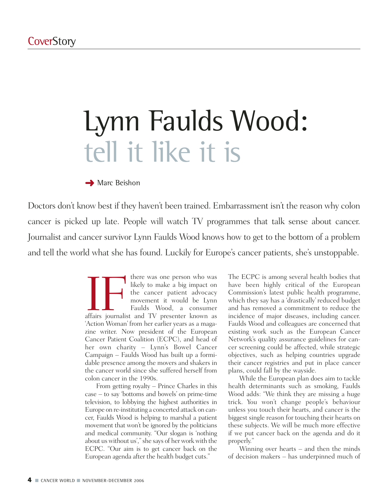# Lynn Faulds Wood: tell it like it is

#### **→ Marc Beishon**

Doctors don't know best if they haven't been trained. Embarrassment isn't the reason why colon cancer is picked up late. People will watch TV programmes that talk sense about cancer. Journalist and cancer survivor Lynn Faulds Wood knows how to get to the bottom of a problem and tell the world what she has found. Luckily for Europe's cancer patients, she's unstoppable.

> THE THE WAS ONE OF THE WAS ONE OF THE MANUSCRIPT OF THE MANUSCRIPT OF THE MANUSCRIPT OF THE MANUSCRIPT OF THE MANUSCRIPT OF THE MANUSCRIPT OF THE MANUSCRIPT OF THE MANUSCRIPT OF THE MANUSCRIPT OF THE MANUSCRIPT OF THE MANU likely to make a big impact on the cancer patient advocacy movement it would be Lynn Faulds Wood, a consumer 'Action Woman' from her earlier years as a magazine writer. Now president of the European Cancer Patient Coalition (ECPC), and head of her own charity – Lynn's Bowel Cancer Campaign – Faulds Wood has built up a formidable presence among the movers and shakers in the cancer world since she suffered herself from colon cancer in the 1990s.

> From getting royalty – Prince Charles in this case – to say 'bottoms and bowels' on prime-time television, to lobbying the highest authorities in Europe on re-instituting a concerted attack on cancer, Faulds Wood is helping to marshal a patient movement that won't be ignored by the politicians and medical community. "Our slogan is 'nothing about us without us'," she says of her work with the ECPC. "Our aim is to get cancer back on the European agenda after the health budget cuts."

The ECPC is among several health bodies that have been highly critical of the European Commission's latest public health programme, which they say has a 'drastically' reduced budget and has removed a commitment to reduce the incidence of major diseases, including cancer. Faulds Wood and colleagues are concerned that existing work such as the European Cancer Network's quality assurance guidelines for cancer screening could be affected, while strategic objectives, such as helping countries upgrade their cancer registries and put in place cancer plans, could fall by the wayside.

While the European plan does aim to tackle health determinants such as smoking, Faulds Wood adds: "We think they are missing a huge trick. You won't change people's behaviour unless you touch their hearts, and cancer is the biggest single reason for touching their hearts on these subjects. We will be much more effective if we put cancer back on the agenda and do it properly."

Winning over hearts – and then the minds of decision makers – has underpinned much of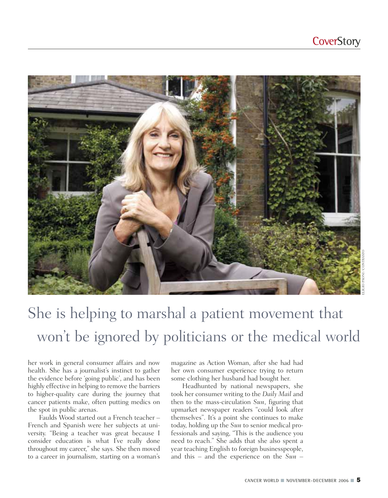

## She is helping to marshal a patient movement that won't be ignored by politicians or the medical world

her work in general consumer affairs and now health. She has a journalist's instinct to gather the evidence before 'going public', and has been highly effective in helping to remove the barriers to higher-quality care during the journey that cancer patients make, often putting medics on the spot in public arenas.

Faulds Wood started out a French teacher – French and Spanish were her subjects at university. "Being a teacher was great because I consider education is what I've really done throughout my career," she says. She then moved to a career in journalism, starting on a woman's magazine as Action Woman, after she had had her own consumer experience trying to return some clothing her husband had bought her.

Headhunted by national newspapers, she took her consumer writing to the *Daily Mail* and then to the mass-circulation *Sun*, figuring that upmarket newspaper readers "could look after themselves". It's a point she continues to make today, holding up the *Sun* to senior medical professionals and saying, "This is the audience you need to reach." She adds that she also spent a year teaching English to foreign businesspeople, and this – and the experience on the *Sun* –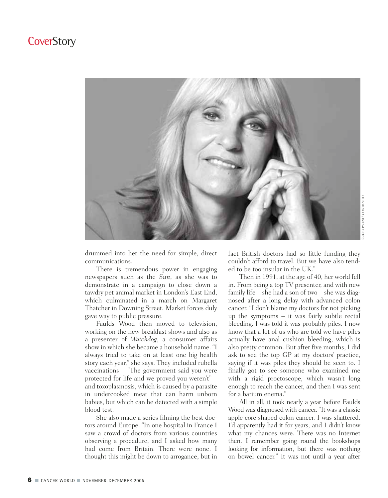

drummed into her the need for simple, direct communications.

There is tremendous power in engaging newspapers such as the *Sun*, as she was to demonstrate in a campaign to close down a tawdry pet animal market in London's East End, which culminated in a march on Margaret Thatcher in Downing Street. Market forces duly gave way to public pressure.

Faulds Wood then moved to television, working on the new breakfast shows and also as a presenter of *Watchdog*, a consumer affairs show in which she became a household name. "I always tried to take on at least one big health story each year," she says. They included rubella vaccinations – "The government said you were protected for life and we proved you weren't" – and toxoplasmosis, which is caused by a parasite in undercooked meat that can harm unborn babies, but which can be detected with a simple blood test.

She also made a series filming the best doctors around Europe. "In one hospital in France I saw a crowd of doctors from various countries observing a procedure, and I asked how many had come from Britain. There were none. I thought this might be down to arrogance, but in

fact British doctors had so little funding they couldn't afford to travel. But we have also tended to be too insular in the UK."

Then in 1991, at the age of 40, her world fell in. From being a top TV presenter, and with new family life – she had a son of two – she was diagnosed after a long delay with advanced colon cancer. "I don't blame my doctors for not picking up the symptoms – it was fairly subtle rectal bleeding. I was told it was probably piles. I now know that a lot of us who are told we have piles actually have anal cushion bleeding, which is also pretty common. But after five months, I did ask to see the top GP at my doctors' practice, saying if it was piles they should be seen to. I finally got to see someone who examined me with a rigid proctoscope, which wasn't long enough to reach the cancer, and then I was sent for a barium enema."

All in all, it took nearly a year before Faulds Wood was diagnosed with cancer. "It was a classic apple-core-shaped colon cancer. I was shattered. I'd apparently had it for years, and I didn't know what my chances were. There was no Internet then. I remember going round the bookshops looking for information, but there was nothing on bowel cancer." It was not until a year after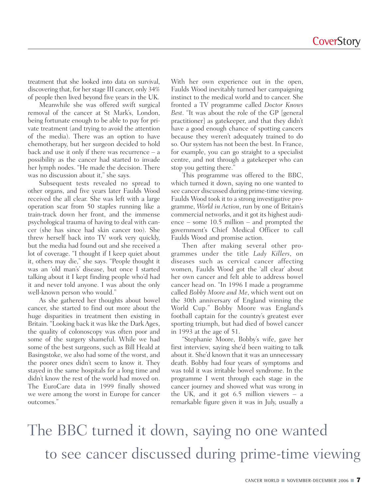treatment that she looked into data on survival, discovering that, for her stage III cancer, only 34% of people then lived beyond five years in the UK.

Meanwhile she was offered swift surgical removal of the cancer at St Mark's, London, being fortunate enough to be able to pay for private treatment (and trying to avoid the attention of the media). There was an option to have chemotherapy, but her surgeon decided to hold back and use it only if there was recurrence – a possibility as the cancer had started to invade her lymph nodes. "He made the decision. There was no discussion about it," she says.

Subsequent tests revealed no spread to other organs, and five years later Faulds Wood received the all clear. She was left with a large operation scar from 50 staples running like a train-track down her front, and the immense psychological trauma of having to deal with cancer (she has since had skin cancer too). She threw herself back into TV work very quickly, but the media had found out and she received a lot of coverage. "I thought if I keep quiet about it, others may die," she says. "People thought it was an 'old man's' disease, but once I started talking about it I kept finding people who'd had it and never told anyone. I was about the only well-known person who would."

As she gathered her thoughts about bowel cancer, she started to find out more about the huge disparities in treatment then existing in Britain. "Looking back it was like the Dark Ages, the quality of colonoscopy was often poor and some of the surgery shameful. While we had some of the best surgeons, such as Bill Heald at Basingstoke, we also had some of the worst, and the poorer ones didn't seem to know it. They stayed in the same hospitals for a long time and didn't know the rest of the world had moved on. The EuroCare data in 1999 finally showed we were among the worst in Europe for cancer outcomes."

With her own experience out in the open, Faulds Wood inevitably turned her campaigning instinct to the medical world and to cancer. She fronted a TV programme called *Doctor Knows Best*. "It was about the role of the GP [general practitioner] as gatekeeper, and that they didn't have a good enough chance of spotting cancers because they weren't adequately trained to do so. Our system has not been the best. In France, for example, you can go straight to a specialist centre, and not through a gatekeeper who can stop you getting there."

This programme was offered to the BBC, which turned it down, saying no one wanted to see cancer discussed during prime-time viewing. Faulds Wood took it to a strong investigative programme, *World in Action*, run by one of Britain's commercial networks, and it got its highest audience – some 10.5 million – and prompted the government's Chief Medical Officer to call Faulds Wood and promise action.

Then after making several other programmes under the title *Lady Killers*, on diseases such as cervical cancer affecting women, Faulds Wood got the 'all clear' about her own cancer and felt able to address bowel cancer head on. "In 1996 I made a programme called *Bobby Moore and Me*, which went out on the 30th anniversary of England winning the World Cup." Bobby Moore was England's football captain for the country's greatest ever sporting triumph, but had died of bowel cancer in 1993 at the age of 51.

"Stephanie Moore, Bobby's wife, gave her first interview, saying she'd been waiting to talk about it. She'd known that it was an unnecessary death. Bobby had four years of symptoms and was told it was irritable bowel syndrome. In the programme I went through each stage in the cancer journey and showed what was wrong in the UK, and it got  $6.5$  million viewers – a remarkable figure given it was in July, usually a

The BBC turned it down, saying no one wanted to see cancer discussed during prime-time viewing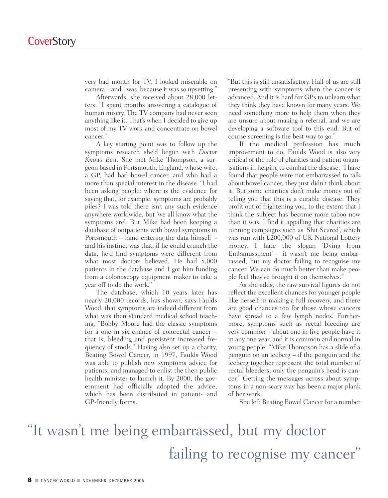very bad month for TV. I looked miserable on camera – and I was, because it was so upsetting."

Afterwards, she received about 28,000 letters. "I spent months answering a catalogue of human misery. The TV company had never seen anything like it. That's when I decided to give up most of my TV work and concentrate on bowel cancer."

A key starting point was to follow up the symptoms research she'd begun with *Doctor Knows Best*. She met Mike Thompson, a surgeon based in Portsmouth, England, whose wife, a GP, had had bowel cancer, and who had a more than special interest in the disease. "I had been asking people: where is the evidence for saying that, for example, symptoms are probably piles? I was told there isn't any such evidence anywhere worldwide, but 'we all know what the symptoms are'. But Mike had been keeping a database of outpatients with bowel symptoms in Portsmouth – hand-entering the data himself – and his instinct was that, if he could crunch the data, he'd find symptoms were different from what most doctors believed. He had 5,000 patients in the database and I got him funding from a colonoscopy equipment maker to take a year off to do the work."

The database, which 10 years later has nearly 20,000 records, has shown, says Faulds Wood, that symptoms are indeed different from what was then standard medical school teaching. "Bobby Moore had the classic symptoms for a one in six chance of colorectal cancer – that is, bleeding and persistent increased frequency of stools." Having also set up a charity, Beating Bowel Cancer, in 1997, Faulds Wood was able to publish new symptoms advice for patients, and managed to enlist the then public health minister to launch it. By 2000, the government had officially adopted the advice, which has been distributed in patient- and GP-friendly forms.

"But this is still unsatisfactory. Half of us are still presenting with symptoms when the cancer is advanced. And it is hard for GPs to unlearn what they think they have known for many years. We need something more to help them when they are unsure about making a referral, and we are developing a software tool to this end. But of course screening is the best way to go."

If the medical profession has much improvement to do, Faulds Wood is also very critical of the role of charities and patient organisations in helping to combat the disease. "I have found that people were not embarrassed to talk about bowel cancer, they just didn't think about it. But some charities don't make money out of telling you that this is a curable disease. They profit out of frightening you, to the extent that I think the subject has become more taboo now than it was. I find it appalling that charities are running campaigns such as 'Shit Scared', which was run with £200,000 of UK National Lottery money. I hate the slogan 'Dying from Embarrassment' – it wasn't me being embarrassed, but my doctor failing to recognise my cancer. We can do much better than make people feel they've brought it on themselves."

As she adds, the raw survival figures do not reflect the excellent chances for younger people like herself in making a full recovery, and there are good chances too for those whose cancers have spread to a few lymph nodes. Furthermore, symptoms such as rectal bleeding are very common – about one in five people have it in any one year, and it is common and normal in young people. "Mike Thompson has a slide of a penguin on an iceberg – if the penguin and the iceberg together represent the total number of rectal bleeders, only the penguin's head is cancer." Getting the messages across about symptoms in a non-scary way has been a major plank of her work.

She left Beating Bowel Cancer for a number

### "It wasn't me being embarrassed, but my doctor failing to recognise my cancer"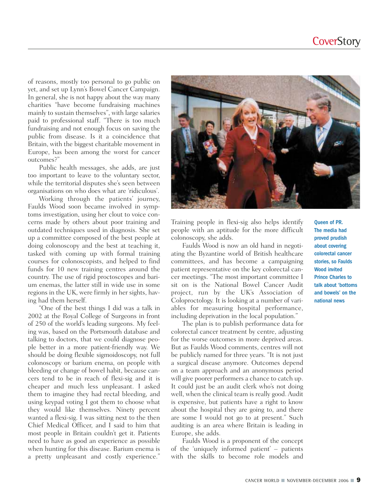of reasons, mostly too personal to go public on yet, and set up Lynn's Bowel Cancer Campaign. In general, she is not happy about the way many charities "have become fundraising machines mainly to sustain themselves", with large salaries paid to professional staff. "There is too much fundraising and not enough focus on saving the public from disease. Is it a coincidence that Britain, with the biggest charitable movement in Europe, has been among the worst for cancer outcomes?"

Public health messages, she adds, are just too important to leave to the voluntary sector, while the territorial disputes she's seen between organisations on who does what are 'ridiculous'.

Working through the patients' journey, Faulds Wood soon became involved in symptoms investigation, using her clout to voice concerns made by others about poor training and outdated techniques used in diagnosis. She set up a committee composed of the best people at doing colonoscopy and the best at teaching it, tasked with coming up with formal training courses for colonoscopists, and helped to find funds for 10 new training centres around the country. The use of rigid proctoscopes and barium enemas, the latter still in wide use in some regions in the UK, were firmly in her sights, having had them herself.

"One of the best things I did was a talk in 2002 at the Royal College of Surgeons in front of 250 of the world's leading surgeons. My feeling was, based on the Portsmouth database and talking to doctors, that we could diagnose people better in a more patient-friendly way. We should be doing flexible sigmoidoscopy, not full colonoscopy or barium enema, on people with bleeding or change of bowel habit, because cancers tend to be in reach of flexi-sig and it is cheaper and much less unpleasant. I asked them to imagine they had rectal bleeding, and using keypad voting I got them to choose what they would like themselves. Ninety percent wanted a flexi-sig. I was sitting next to the then Chief Medical Officer, and I said to him that most people in Britain couldn't get it. Patients need to have as good an experience as possible when hunting for this disease. Barium enema is a pretty unpleasant and costly experience."



Training people in flexi-sig also helps identify people with an aptitude for the more difficult colonoscopy, she adds.

Faulds Wood is now an old hand in negotiating the Byzantine world of British healthcare committees, and has become a campaigning patient representative on the key colorectal cancer meetings. "The most important committee I sit on is the National Bowel Cancer Audit project, run by the UK's Association of Coloproctology. It is looking at a number of variables for measuring hospital performance, including deprivation in the local population."

The plan is to publish performance data for colorectal cancer treatment by centre, adjusting for the worse outcomes in more deprived areas. But as Faulds Wood comments, centres will not be publicly named for three years. "It is not just a surgical disease anymore. Outcomes depend on a team approach and an anonymous period will give poorer performers a chance to catch up. It could just be an audit clerk who's not doing well, when the clinical team is really good. Audit is expensive, but patients have a right to know about the hospital they are going to, and there are some I would not go to at present." Such auditing is an area where Britain is leading in Europe, she adds.

Faulds Wood is a proponent of the concept of the 'uniquely informed patient' – patients with the skills to become role models and Queen of PR. The media had proved prudish about covering colorectal cancer stories, so Faulds Wood invited Prince Charles to talk about 'bottoms and bowels' on the national news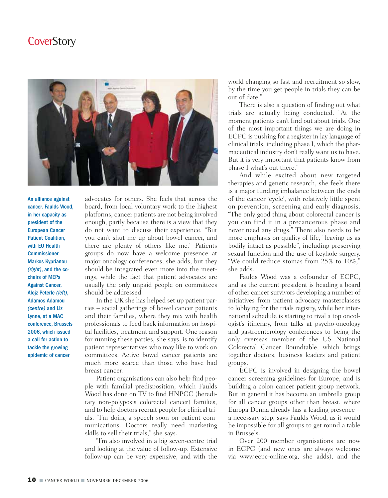

An alliance against cancer. Faulds Wood, in her capacity as president of the European Cancer Patient Coalition, with EU Health Commissioner Markos Kyprianou *(right)*, and the cochairs of MEPs Against Cancer, Alojz Peterle *(left)*, Adamos Adamou *(centre)* and Liz Lynne, at a MAC conference, Brussels 2006, which issued a call for action to tackle the growing epidemic of cancer

advocates for others. She feels that across the board, from local voluntary work to the highest platforms, cancer patients are not being involved enough, partly because there is a view that they do not want to discuss their experience. "But you can't shut me up about bowel cancer, and there are plenty of others like me." Patients groups do now have a welcome presence at major oncology conferences, she adds, but they should be integrated even more into the meetings, while the fact that patient advocates are usually the only unpaid people on committees should be addressed.

In the UK she has helped set up patient parties – social gatherings of bowel cancer patients and their families, where they mix with health professionals to feed back information on hospital facilities, treatment and support. One reason for running these parties, she says, is to identify patient representatives who may like to work on committees. Active bowel cancer patients are much more scarce than those who have had breast cancer.

Patient organisations can also help find people with familial predisposition, which Faulds Wood has done on TV to find HNPCC (hereditary non-polyposis colorectal cancer) families, and to help doctors recruit people for clinical trials. "I'm doing a speech soon on patient communications. Doctors really need marketing skills to sell their trials," she says.

"I'm also involved in a big seven-centre trial and looking at the value of follow-up. Extensive follow-up can be very expensive, and with the

world changing so fast and recruitment so slow, by the time you get people in trials they can be out of date."

There is also a question of finding out what trials are actually being conducted. "At the moment patients can't find out about trials. One of the most important things we are doing in ECPC is pushing for a register in lay language of clinical trials, including phase I, which the pharmaceutical industry don't really want us to have. But it is very important that patients know from phase I what's out there."

And while excited about new targeted therapies and genetic research, she feels there is a major funding imbalance between the ends of the cancer 'cycle', with relatively little spent on prevention, screening and early diagnosis. "The only good thing about colorectal cancer is you can find it in a precancerous phase and never need any drugs." There also needs to be more emphasis on quality of life, "leaving us as bodily intact as possible", including preserving sexual function and the use of keyhole surgery. "We could reduce stomas from 25% to 10%," she adds.

Faulds Wood was a cofounder of ECPC, and as the current president is heading a board of other cancer survivors developing a number of initiatives from patient advocacy masterclasses to lobbying for the trials registry, while her international schedule is starting to rival a top oncologist's itinerary, from talks at psycho-oncology and gastroenterology conferences to being the only overseas member of the US National Colorectal Cancer Roundtable, which brings together doctors, business leaders and patient groups.

ECPC is involved in designing the bowel cancer screening guidelines for Europe, and is building a colon cancer patient group network. But in general it has become an umbrella group for all cancer groups other than breast, where Europa Donna already has a leading presence – a necessary step, says Faulds Wood, as it would be impossible for all groups to get round a table in Brussels.

Over 200 member organisations are now in ECPC (and new ones are always welcome via www.ecpc-online.org, she adds), and the